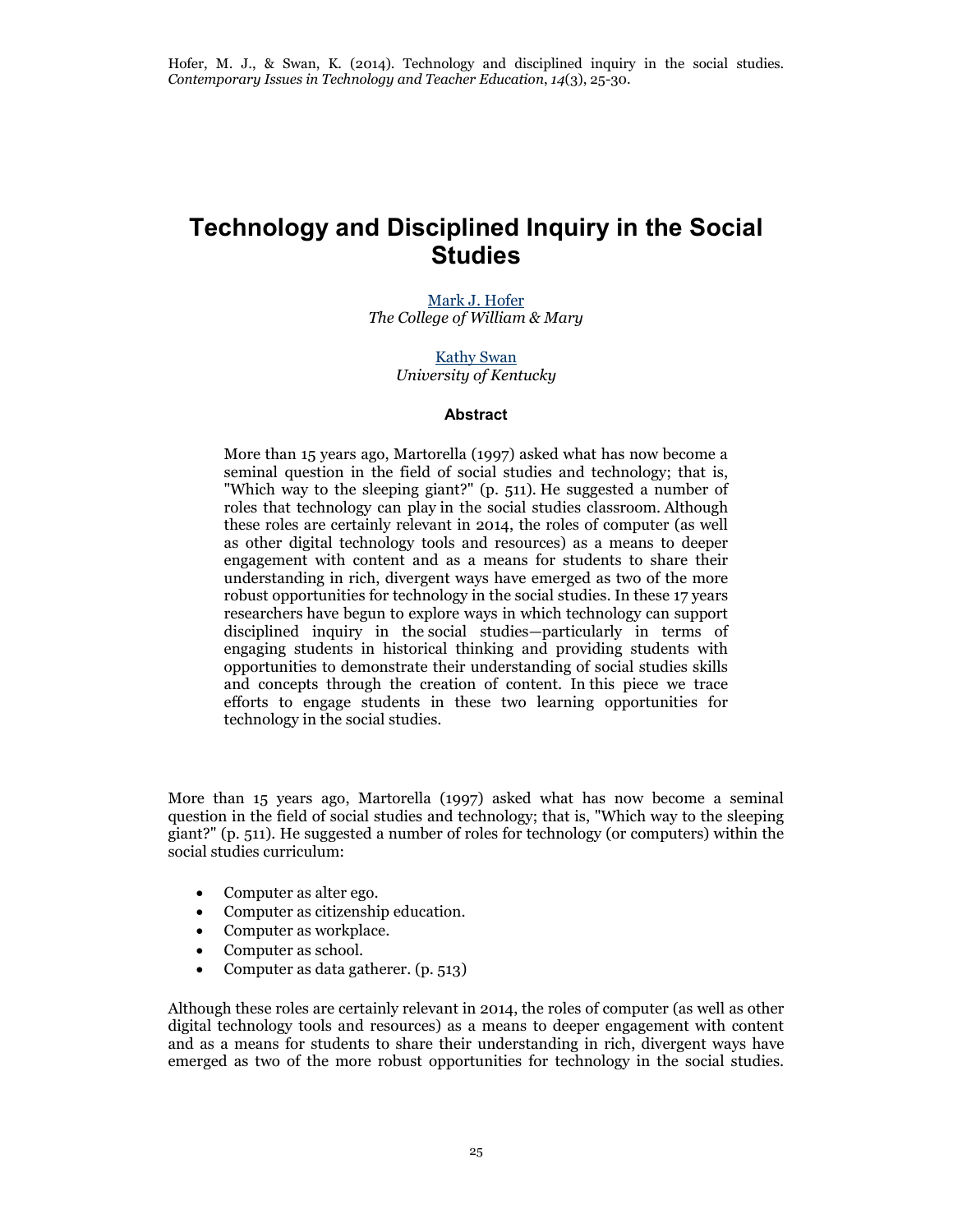## **Technology and Disciplined Inquiry in the Social Studies**

[Mark J. Hofer](mailto:mjhofe@wm.edu) *The College of William & Mary*

> [Kathy Swan](mailto:k.swan@uky.edu) *University of Kentucky*

## **Abstract**

More than 15 years ago, Martorella (1997) asked what has now become a seminal question in the field of social studies and technology; that is, "Which way to the sleeping giant?" (p. 511). He suggested a number of roles that technology can play in the social studies classroom. Although these roles are certainly relevant in 2014, the roles of computer (as well as other digital technology tools and resources) as a means to deeper engagement with content and as a means for students to share their understanding in rich, divergent ways have emerged as two of the more robust opportunities for technology in the social studies. In these 17 years researchers have begun to explore ways in which technology can support disciplined inquiry in the social studies—particularly in terms of engaging students in historical thinking and providing students with opportunities to demonstrate their understanding of social studies skills and concepts through the creation of content. In this piece we trace efforts to engage students in these two learning opportunities for technology in the social studies.

More than 15 years ago, Martorella (1997) asked what has now become a seminal question in the field of social studies and technology; that is, "Which way to the sleeping giant?" (p. 511). He suggested a number of roles for technology (or computers) within the social studies curriculum:

- Computer as alter ego.
- Computer as citizenship education.
- Computer as workplace.
- Computer as school.
- Computer as data gatherer. (p. 513)

Although these roles are certainly relevant in 2014, the roles of computer (as well as other digital technology tools and resources) as a means to deeper engagement with content and as a means for students to share their understanding in rich, divergent ways have emerged as two of the more robust opportunities for technology in the social studies.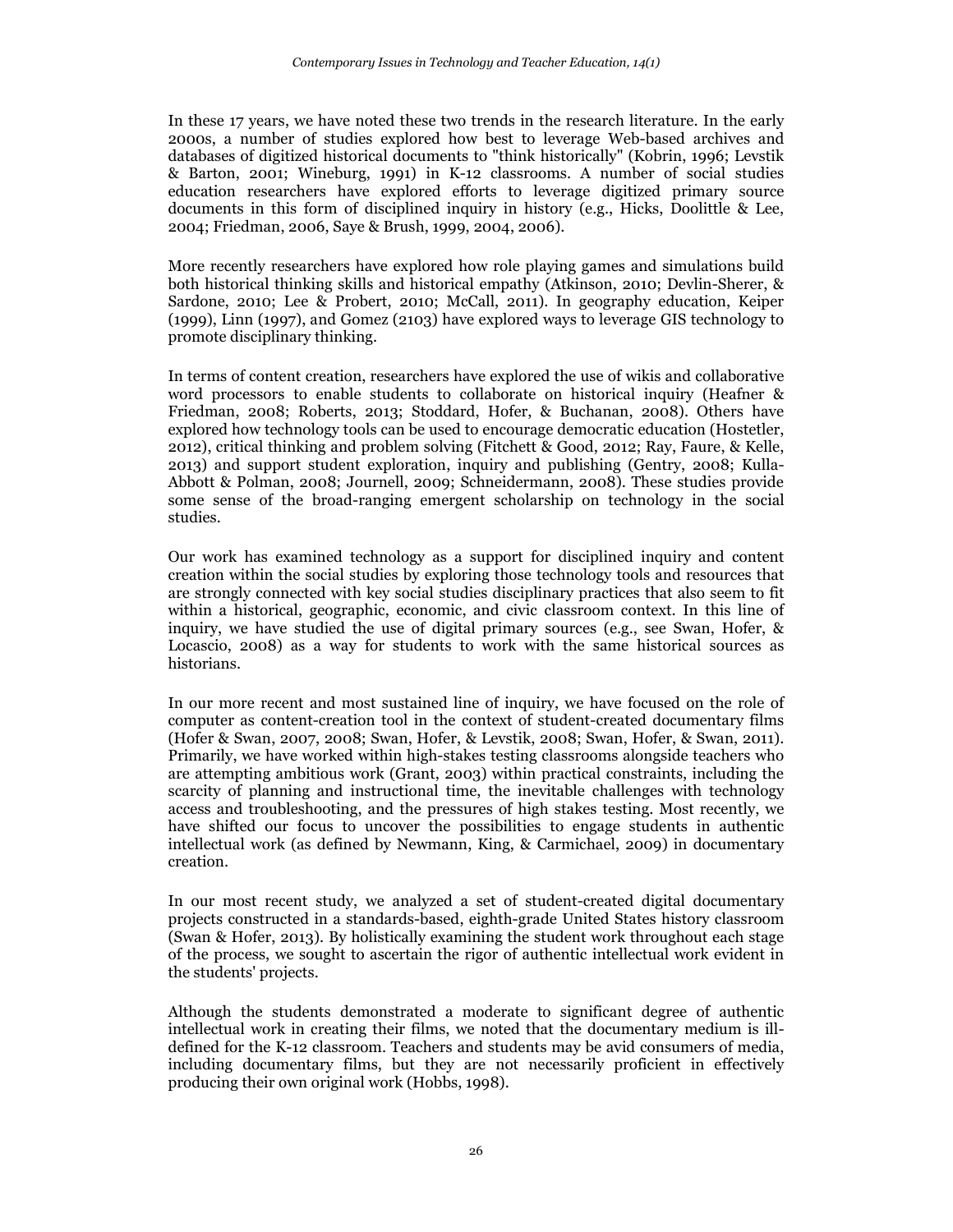In these 17 years, we have noted these two trends in the research literature. In the early 2000s, a number of studies explored how best to leverage Web-based archives and databases of digitized historical documents to "think historically" (Kobrin, 1996; Levstik & Barton, 2001; Wineburg, 1991) in K-12 classrooms. A number of social studies education researchers have explored efforts to leverage digitized primary source documents in this form of disciplined inquiry in history (e.g., Hicks, Doolittle & Lee, 2004; Friedman, 2006, Saye & Brush, 1999, 2004, 2006).

More recently researchers have explored how role playing games and simulations build both historical thinking skills and historical empathy (Atkinson, 2010; Devlin-Sherer, & Sardone, 2010; Lee & Probert, 2010; McCall, 2011). In geography education, Keiper (1999), Linn (1997), and Gomez (2103) have explored ways to leverage GIS technology to promote disciplinary thinking.

In terms of content creation, researchers have explored the use of wikis and collaborative word processors to enable students to collaborate on historical inquiry (Heafner & Friedman, 2008; Roberts, 2013; Stoddard, Hofer, & Buchanan, 2008). Others have explored how technology tools can be used to encourage democratic education (Hostetler, 2012), critical thinking and problem solving (Fitchett & Good, 2012; Ray, Faure, & Kelle, 2013) and support student exploration, inquiry and publishing (Gentry, 2008; Kulla-Abbott & Polman, 2008; Journell, 2009; Schneidermann, 2008). These studies provide some sense of the broad-ranging emergent scholarship on technology in the social studies.

Our work has examined technology as a support for disciplined inquiry and content creation within the social studies by exploring those technology tools and resources that are strongly connected with key social studies disciplinary practices that also seem to fit within a historical, geographic, economic, and civic classroom context. In this line of inquiry, we have studied the use of digital primary sources (e.g., see Swan, Hofer, & Locascio, 2008) as a way for students to work with the same historical sources as historians.

In our more recent and most sustained line of inquiry, we have focused on the role of computer as content-creation tool in the context of student-created documentary films (Hofer & Swan, 2007, 2008; Swan, Hofer, & Levstik, 2008; Swan, Hofer, & Swan, 2011). Primarily, we have worked within high-stakes testing classrooms alongside teachers who are attempting ambitious work (Grant, 2003) within practical constraints, including the scarcity of planning and instructional time, the inevitable challenges with technology access and troubleshooting, and the pressures of high stakes testing. Most recently, we have shifted our focus to uncover the possibilities to engage students in authentic intellectual work (as defined by Newmann, King, & Carmichael, 2009) in documentary creation.

In our most recent study, we analyzed a set of student-created digital documentary projects constructed in a standards-based, eighth-grade United States history classroom (Swan & Hofer, 2013). By holistically examining the student work throughout each stage of the process, we sought to ascertain the rigor of authentic intellectual work evident in the students' projects.

Although the students demonstrated a moderate to significant degree of authentic intellectual work in creating their films, we noted that the documentary medium is illdefined for the K-12 classroom. Teachers and students may be avid consumers of media, including documentary films, but they are not necessarily proficient in effectively producing their own original work (Hobbs, 1998).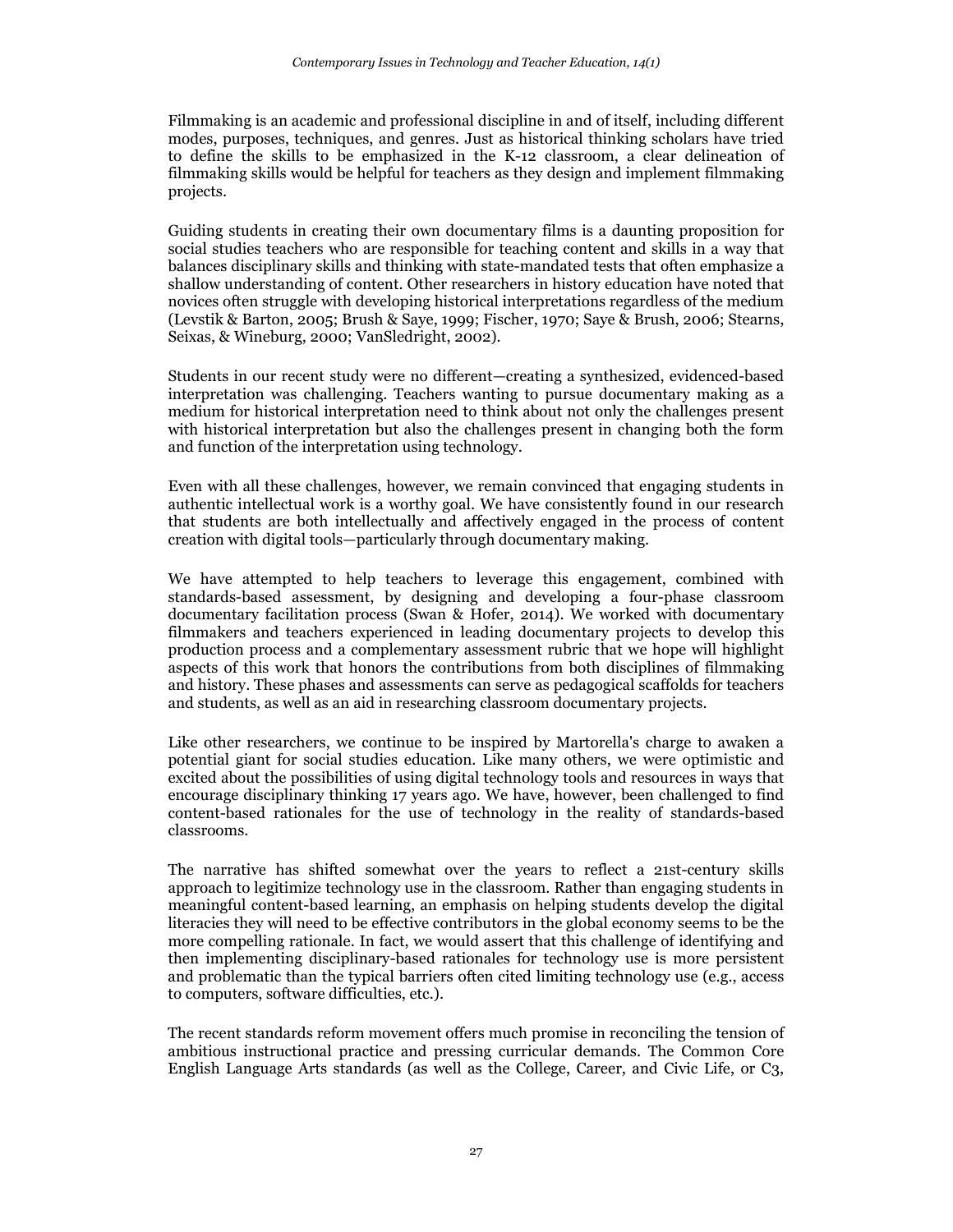Filmmaking is an academic and professional discipline in and of itself, including different modes, purposes, techniques, and genres. Just as historical thinking scholars have tried to define the skills to be emphasized in the K-12 classroom, a clear delineation of filmmaking skills would be helpful for teachers as they design and implement filmmaking projects.

Guiding students in creating their own documentary films is a daunting proposition for social studies teachers who are responsible for teaching content and skills in a way that balances disciplinary skills and thinking with state-mandated tests that often emphasize a shallow understanding of content. Other researchers in history education have noted that novices often struggle with developing historical interpretations regardless of the medium (Levstik & Barton, 2005; Brush & Saye, 1999; Fischer, 1970; Saye & Brush, 2006; Stearns, Seixas, & Wineburg, 2000; VanSledright, 2002).

Students in our recent study were no different—creating a synthesized, evidenced-based interpretation was challenging. Teachers wanting to pursue documentary making as a medium for historical interpretation need to think about not only the challenges present with historical interpretation but also the challenges present in changing both the form and function of the interpretation using technology.

Even with all these challenges, however, we remain convinced that engaging students in authentic intellectual work is a worthy goal. We have consistently found in our research that students are both intellectually and affectively engaged in the process of content creation with digital tools—particularly through documentary making.

We have attempted to help teachers to leverage this engagement, combined with standards-based assessment, by designing and developing a four-phase classroom documentary facilitation process (Swan & Hofer, 2014). We worked with documentary filmmakers and teachers experienced in leading documentary projects to develop this production process and a complementary assessment rubric that we hope will highlight aspects of this work that honors the contributions from both disciplines of filmmaking and history. These phases and assessments can serve as pedagogical scaffolds for teachers and students, as well as an aid in researching classroom documentary projects.

Like other researchers, we continue to be inspired by Martorella's charge to awaken a potential giant for social studies education. Like many others, we were optimistic and excited about the possibilities of using digital technology tools and resources in ways that encourage disciplinary thinking 17 years ago. We have, however, been challenged to find content-based rationales for the use of technology in the reality of standards-based classrooms.

The narrative has shifted somewhat over the years to reflect a 21st-century skills approach to legitimize technology use in the classroom. Rather than engaging students in meaningful content-based learning, an emphasis on helping students develop the digital literacies they will need to be effective contributors in the global economy seems to be the more compelling rationale. In fact, we would assert that this challenge of identifying and then implementing disciplinary-based rationales for technology use is more persistent and problematic than the typical barriers often cited limiting technology use (e.g., access to computers, software difficulties, etc.).

The recent standards reform movement offers much promise in reconciling the tension of ambitious instructional practice and pressing curricular demands. The Common Core English Language Arts standards (as well as the College, Career, and Civic Life, or C3,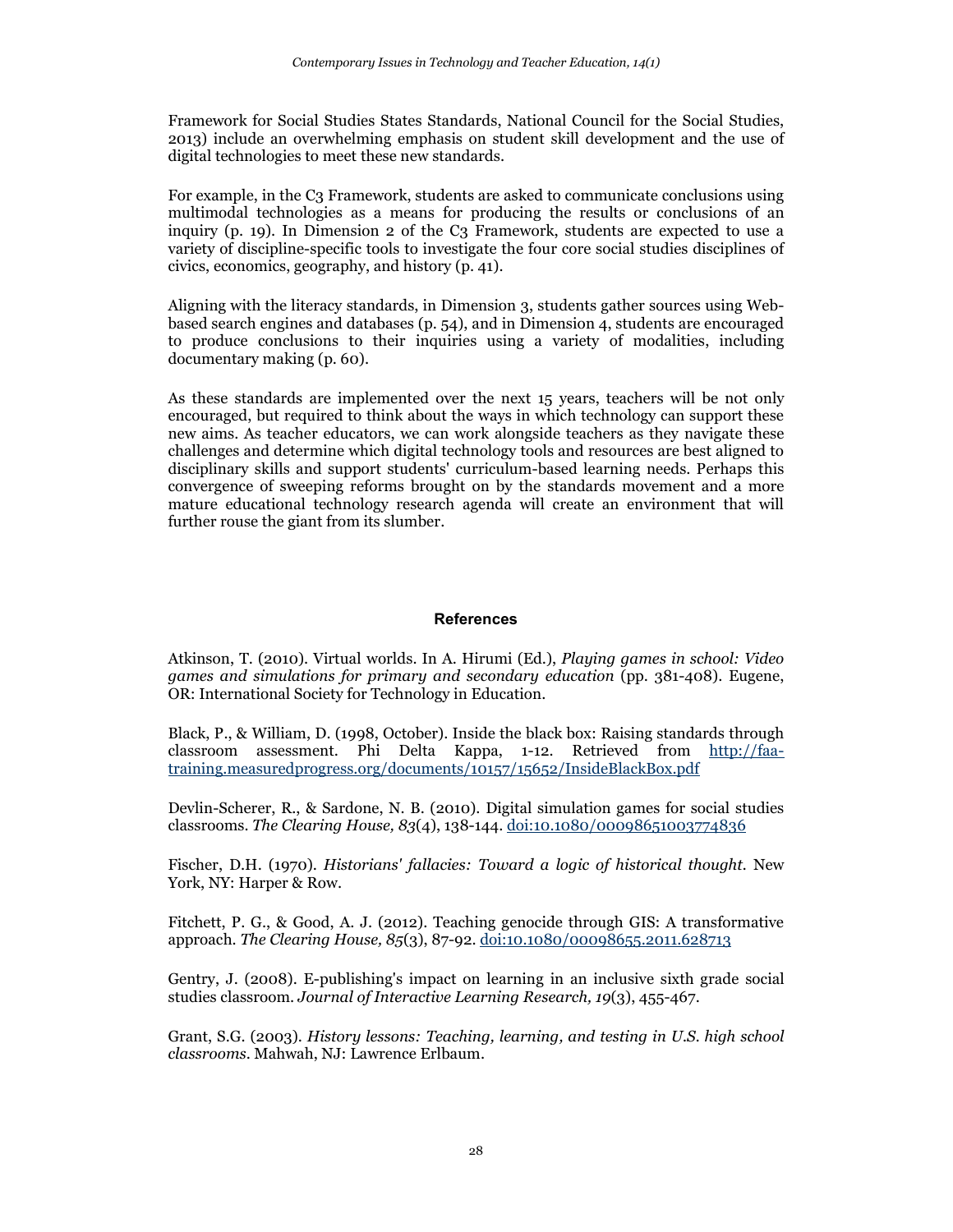Framework for Social Studies States Standards, National Council for the Social Studies, 2013) include an overwhelming emphasis on student skill development and the use of digital technologies to meet these new standards.

For example, in the C3 Framework, students are asked to communicate conclusions using multimodal technologies as a means for producing the results or conclusions of an inquiry (p. 19). In Dimension 2 of the  $C_3$  Framework, students are expected to use a variety of discipline-specific tools to investigate the four core social studies disciplines of civics, economics, geography, and history (p. 41).

Aligning with the literacy standards, in Dimension 3, students gather sources using Webbased search engines and databases (p. 54), and in Dimension 4, students are encouraged to produce conclusions to their inquiries using a variety of modalities, including documentary making (p. 60).

As these standards are implemented over the next 15 years, teachers will be not only encouraged, but required to think about the ways in which technology can support these new aims. As teacher educators, we can work alongside teachers as they navigate these challenges and determine which digital technology tools and resources are best aligned to disciplinary skills and support students' curriculum-based learning needs. Perhaps this convergence of sweeping reforms brought on by the standards movement and a more mature educational technology research agenda will create an environment that will further rouse the giant from its slumber.

## **References**

Atkinson, T. (2010). Virtual worlds. In A. Hirumi (Ed.), *Playing games in school: Video games and simulations for primary and secondary education* (pp. 381-408). Eugene, OR: International Society for Technology in Education.

Black, P., & William, D. (1998, October). Inside the black box: Raising standards through classroom assessment. Phi Delta Kappa, 1-12. Retrieved from [http://faa](http://faa-training.measuredprogress.org/documents/10157/15652/InsideBlackBox.pdf)[training.measuredprogress.org/documents/10157/15652/InsideBlackBox.pdf](http://faa-training.measuredprogress.org/documents/10157/15652/InsideBlackBox.pdf)

Devlin-Scherer, R., & Sardone, N. B. (2010). Digital simulation games for social studies classrooms. *The Clearing House, 83*(4), 138-144. [doi:10.1080/00098651003774836](http://www.tandfonline.com/doi/pdf/10.1080/00098651003774836)

Fischer, D.H. (1970). *Historians' fallacies: Toward a logic of historical thought.* New York, NY: Harper & Row.

Fitchett, P. G., & Good, A. J. (2012). Teaching genocide through GIS: A transformative approach. *The Clearing House, 85*(3), 87-92[. doi:10.1080/00098655.2011.628713](http://www.tandfonline.com/doi/full/10.1080/00098655.2011.628713#.UuFoubROlpg)

Gentry, J. (2008). E-publishing's impact on learning in an inclusive sixth grade social studies classroom. *Journal of Interactive Learning Research, 19*(3), 455-467.

Grant, S.G. (2003). *History lessons: Teaching, learning, and testing in U.S. high school classrooms*. Mahwah, NJ: Lawrence Erlbaum.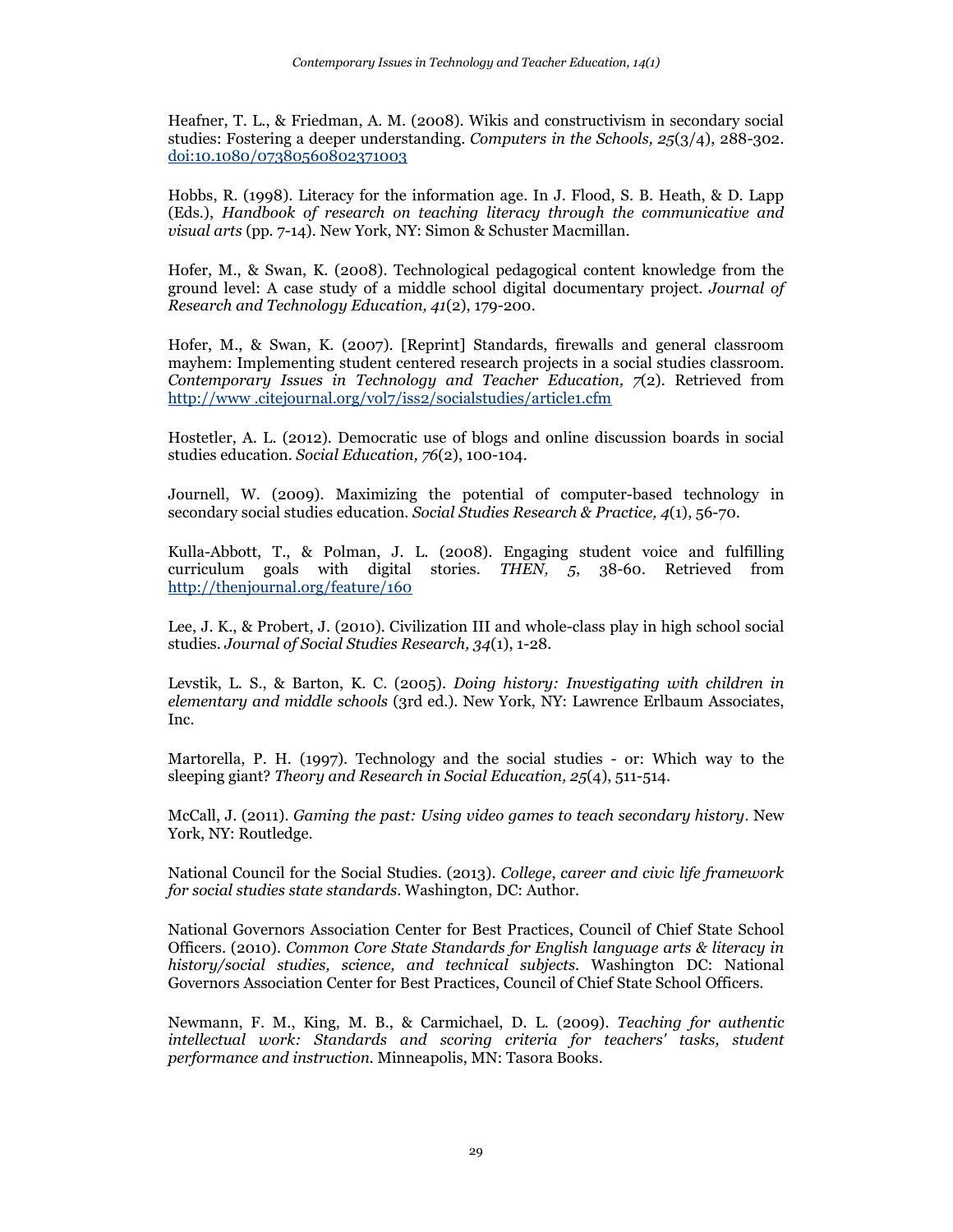Heafner, T. L., & Friedman, A. M. (2008). Wikis and constructivism in secondary social studies: Fostering a deeper understanding. *Computers in the Schools, 25*(3/4), 288-302. [doi:10.1080/07380560802371003](http://www.tandfonline.com/doi/full/10.1080/07380560802371003#.UuFoQbROlpg)

Hobbs, R. (1998). Literacy for the information age. In J. Flood, S. B. Heath, & D. Lapp (Eds.), *Handbook of research on teaching literacy through the communicative and visual arts* (pp. 7-14). New York, NY: Simon & Schuster Macmillan.

Hofer, M., & Swan, K. (2008). Technological pedagogical content knowledge from the ground level: A case study of a middle school digital documentary project. *Journal of Research and Technology Education, 41*(2), 179-200.

Hofer, M., & Swan, K. (2007). [Reprint] Standards, firewalls and general classroom mayhem: Implementing student centered research projects in a social studies classroom. *Contemporary Issues in Technology and Teacher Education, 7*(2). Retrieved from [http://www .citejournal.org/vol7/iss2/socialstudies/article1.cfm](http://www.citejournal.org/vol7/iss2/socialstudies/article1.cfm)

Hostetler, A. L. (2012). Democratic use of blogs and online discussion boards in social studies education. *Social Education, 76*(2), 100-104.

Journell, W. (2009). Maximizing the potential of computer-based technology in secondary social studies education. *Social Studies Research & Practice, 4*(1), 56-70.

Kulla-Abbott, T., & Polman, J. L. (2008). Engaging student voice and fulfilling curriculum goals with digital stories. *THEN, 5*, 38-60. Retrieved from <http://thenjournal.org/feature/160>

Lee, J. K., & Probert, J. (2010). Civilization III and whole-class play in high school social studies. *Journal of Social Studies Research, 34*(1), 1-28.

Levstik, L. S., & Barton, K. C. (2005). *Doing history: Investigating with children in elementary and middle schools* (3rd ed.). New York, NY: Lawrence Erlbaum Associates, Inc.

Martorella, P. H. (1997). Technology and the social studies - or: Which way to the sleeping giant? *Theory and Research in Social Education, 25*(4), 511-514.

McCall, J. (2011). *Gaming the past: Using video games to teach secondary history*. New York, NY: Routledge.

National Council for the Social Studies. (2013). *College*, *career and civic life framework for social studies state standards*. Washington, DC: Author.

National Governors Association Center for Best Practices, Council of Chief State School Officers. (2010). *Common Core State Standards for English language arts & literacy in history/social studies, science, and technical subjects*. Washington DC: National Governors Association Center for Best Practices, Council of Chief State School Officers.

Newmann, F. M., King, M. B., & Carmichael, D. L. (2009). *Teaching for authentic intellectual work: Standards and scoring criteria for teachers' tasks, student performance and instruction.* Minneapolis, MN: Tasora Books.